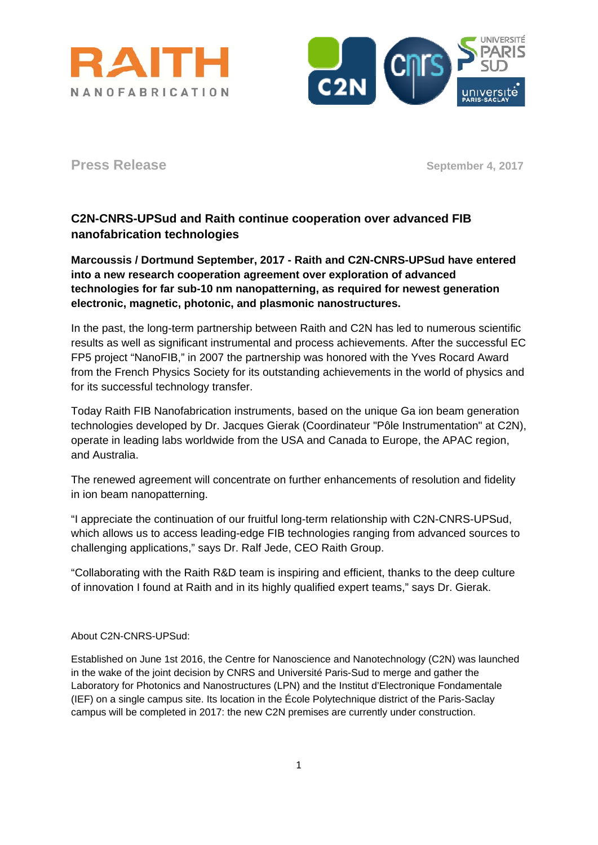



**Press Release** September 4, 2017

## **C2N-CNRS-UPSud and Raith continue cooperation over advanced FIB nanofabrication technologies**

**Marcoussis / Dortmund September, 2017 - Raith and C2N-CNRS-UPSud have entered into a new research cooperation agreement over exploration of advanced technologies for far sub-10 nm nanopatterning, as required for newest generation electronic, magnetic, photonic, and plasmonic nanostructures.**

In the past, the long-term partnership between Raith and C2N has led to numerous scientific results as well as significant instrumental and process achievements. After the successful EC FP5 project "NanoFIB," in 2007 the partnership was honored with the Yves Rocard Award from the French Physics Society for its outstanding achievements in the world of physics and for its successful technology transfer.

Today Raith FIB Nanofabrication instruments, based on the unique Ga ion beam generation technologies developed by Dr. Jacques Gierak (Coordinateur "Pôle Instrumentation" at C2N), operate in leading labs worldwide from the USA and Canada to Europe, the APAC region, and Australia.

The renewed agreement will concentrate on further enhancements of resolution and fidelity in ion beam nanopatterning.

"I appreciate the continuation of our fruitful long-term relationship with C2N-CNRS-UPSud, which allows us to access leading-edge FIB technologies ranging from advanced sources to challenging applications," says Dr. Ralf Jede, CEO Raith Group.

"Collaborating with the Raith R&D team is inspiring and efficient, thanks to the deep culture of innovation I found at Raith and in its highly qualified expert teams," says Dr. Gierak.

## About C2N-CNRS-UPSud:

Established on June 1st 2016, the Centre for Nanoscience and Nanotechnology (C2N) was launched in the wake of the joint decision by CNRS and Université Paris-Sud to merge and gather the Laboratory for Photonics and Nanostructures (LPN) and the Institut d'Electronique Fondamentale (IEF) on a single campus site. Its location in the École Polytechnique district of the Paris-Saclay campus will be completed in 2017: the new C2N premises are currently under construction.